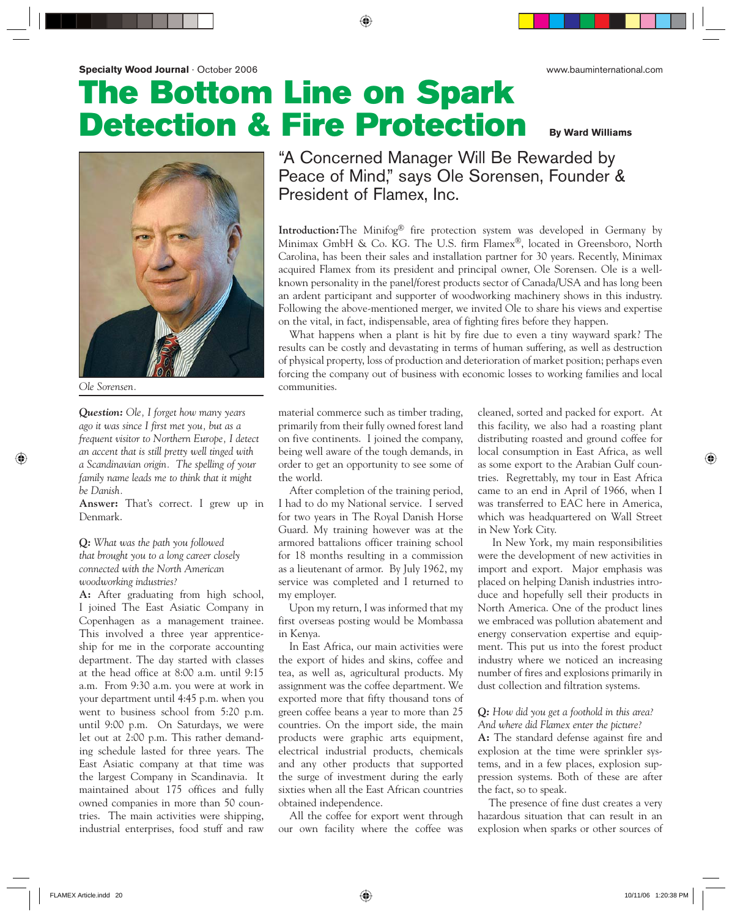# **The Bottom Line on Spark Detection & Fire Protection By Ward Williams**



*Question: Ole, I forget how many years ago it was since I first met you, but as a frequent visitor to Northern Europe, I detect an accent that is still pretty well tinged with a Scandinavian origin. The spelling of your family name leads me to think that it might be Danish.*

**Answer:** That's correct. I grew up in Denmark.

## *Q: What was the path you followed that brought you to a long career closely connected with the North American woodworking industries?*

**A:** After graduating from high school, I joined The East Asiatic Company in Copenhagen as a management trainee. This involved a three year apprenticeship for me in the corporate accounting department. The day started with classes at the head office at 8:00 a.m. until 9:15 a.m. From 9:30 a.m. you were at work in your department until 4:45 p.m. when you went to business school from 5:20 p.m. until 9:00 p.m. On Saturdays, we were let out at 2:00 p.m. This rather demanding schedule lasted for three years. The East Asiatic company at that time was the largest Company in Scandinavia. It maintained about 175 offices and fully owned companies in more than 50 countries. The main activities were shipping, industrial enterprises, food stuff and raw "A Concerned Manager Will Be Rewarded by Peace of Mind," says Ole Sorensen, Founder & President of Flamex, Inc.

**Introduction:**The Minifog® fire protection system was developed in Germany by Minimax GmbH & Co. KG. The U.S. firm Flamex®, located in Greensboro, North Carolina, has been their sales and installation partner for 30 years. Recently, Minimax acquired Flamex from its president and principal owner, Ole Sorensen. Ole is a wellknown personality in the panel/forest products sector of Canada/USA and has long been an ardent participant and supporter of woodworking machinery shows in this industry. Following the above-mentioned merger, we invited Ole to share his views and expertise on the vital, in fact, indispensable, area of fighting fires before they happen.

What happens when a plant is hit by fire due to even a tiny wayward spark? The results can be costly and devastating in terms of human suffering, as well as destruction of physical property, loss of production and deterioration of market position; perhaps even forcing the company out of business with economic losses to working families and local *Ole Sorensen.* communities.

> material commerce such as timber trading, primarily from their fully owned forest land on five continents. I joined the company, being well aware of the tough demands, in order to get an opportunity to see some of the world.

> After completion of the training period, I had to do my National service. I served for two years in The Royal Danish Horse Guard. My training however was at the armored battalions officer training school for 18 months resulting in a commission as a lieutenant of armor. By July 1962, my service was completed and I returned to my employer.

Upon my return, I was informed that my first overseas posting would be Mombassa in Kenya.

In East Africa, our main activities were the export of hides and skins, coffee and tea, as well as, agricultural products. My assignment was the coffee department. We exported more that fifty thousand tons of green coffee beans a year to more than 25 countries. On the import side, the main products were graphic arts equipment, electrical industrial products, chemicals and any other products that supported the surge of investment during the early sixties when all the East African countries obtained independence.

All the coffee for export went through our own facility where the coffee was cleaned, sorted and packed for export. At this facility, we also had a roasting plant distributing roasted and ground coffee for local consumption in East Africa, as well as some export to the Arabian Gulf countries. Regrettably, my tour in East Africa came to an end in April of 1966, when I was transferred to EAC here in America, which was headquartered on Wall Street in New York City.

 In New York, my main responsibilities were the development of new activities in import and export. Major emphasis was placed on helping Danish industries introduce and hopefully sell their products in North America. One of the product lines we embraced was pollution abatement and energy conservation expertise and equipment. This put us into the forest product industry where we noticed an increasing number of fires and explosions primarily in dust collection and filtration systems.

#### *Q: How did you get a foothold in this area? And where did Flamex enter the picture?*

**A:** The standard defense against fire and explosion at the time were sprinkler systems, and in a few places, explosion suppression systems. Both of these are after the fact, so to speak.

The presence of fine dust creates a very hazardous situation that can result in an explosion when sparks or other sources of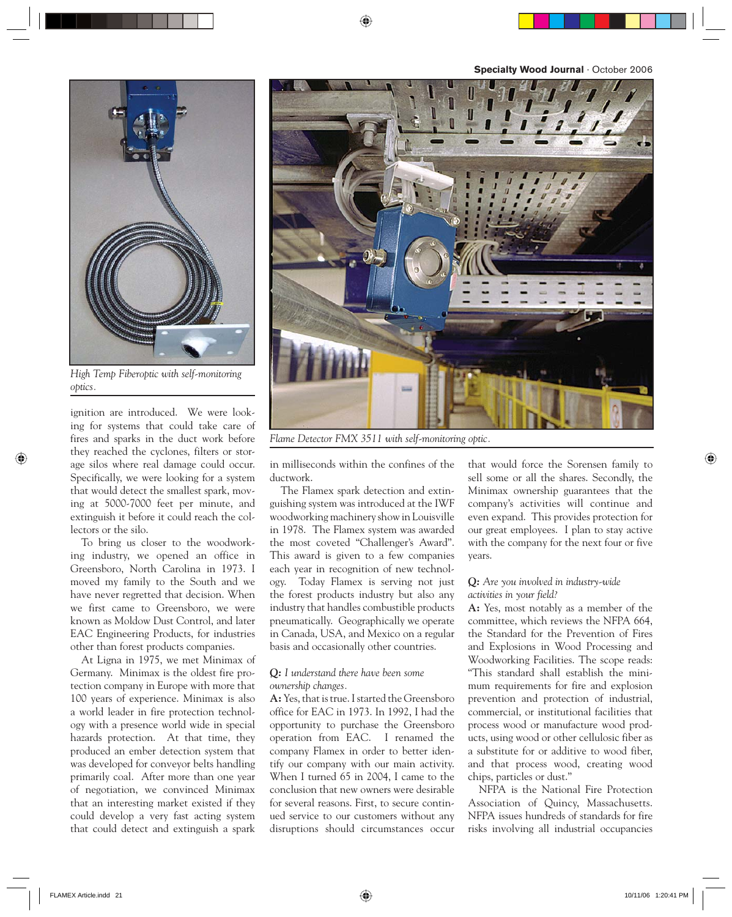**Specialty Wood Journal** · October 2006



*High Temp Fiberoptic with self-monitoring optics.*

ignition are introduced. We were looking for systems that could take care of fires and sparks in the duct work before they reached the cyclones, filters or storage silos where real damage could occur. Specifically, we were looking for a system that would detect the smallest spark, moving at 5000-7000 feet per minute, and extinguish it before it could reach the collectors or the silo.

To bring us closer to the woodworking industry, we opened an office in Greensboro, North Carolina in 1973. I moved my family to the South and we have never regretted that decision. When we first came to Greensboro, we were known as Moldow Dust Control, and later EAC Engineering Products, for industries other than forest products companies.

At Ligna in 1975, we met Minimax of Germany. Minimax is the oldest fire protection company in Europe with more that 100 years of experience. Minimax is also a world leader in fire protection technology with a presence world wide in special hazards protection. At that time, they produced an ember detection system that was developed for conveyor belts handling primarily coal. After more than one year of negotiation, we convinced Minimax that an interesting market existed if they could develop a very fast acting system that could detect and extinguish a spark



*Flame Detector FMX 3511 with self-monitoring optic.*

in milliseconds within the confines of the ductwork.

The Flamex spark detection and extinguishing system was introduced at the IWF woodworking machinery show in Louisville in 1978. The Flamex system was awarded the most coveted "Challenger's Award". This award is given to a few companies each year in recognition of new technology. Today Flamex is serving not just the forest products industry but also any industry that handles combustible products pneumatically. Geographically we operate in Canada, USA, and Mexico on a regular basis and occasionally other countries.

### *Q: I understand there have been some ownership changes.*

**A:** Yes, that is true. I started the Greensboro office for EAC in 1973. In 1992, I had the opportunity to purchase the Greensboro operation from EAC. I renamed the company Flamex in order to better identify our company with our main activity. When I turned 65 in 2004, I came to the conclusion that new owners were desirable for several reasons. First, to secure continued service to our customers without any disruptions should circumstances occur

that would force the Sorensen family to sell some or all the shares. Secondly, the Minimax ownership guarantees that the company's activities will continue and even expand. This provides protection for our great employees. I plan to stay active with the company for the next four or five years.

## *Q: Are you involved in industry-wide activities in your field?*

**A:** Yes, most notably as a member of the committee, which reviews the NFPA 664, the Standard for the Prevention of Fires and Explosions in Wood Processing and Woodworking Facilities. The scope reads: "This standard shall establish the minimum requirements for fire and explosion prevention and protection of industrial, commercial, or institutional facilities that process wood or manufacture wood products, using wood or other cellulosic fiber as a substitute for or additive to wood fiber, and that process wood, creating wood chips, particles or dust."

NFPA is the National Fire Protection Association of Quincy, Massachusetts. NFPA issues hundreds of standards for fire risks involving all industrial occupancies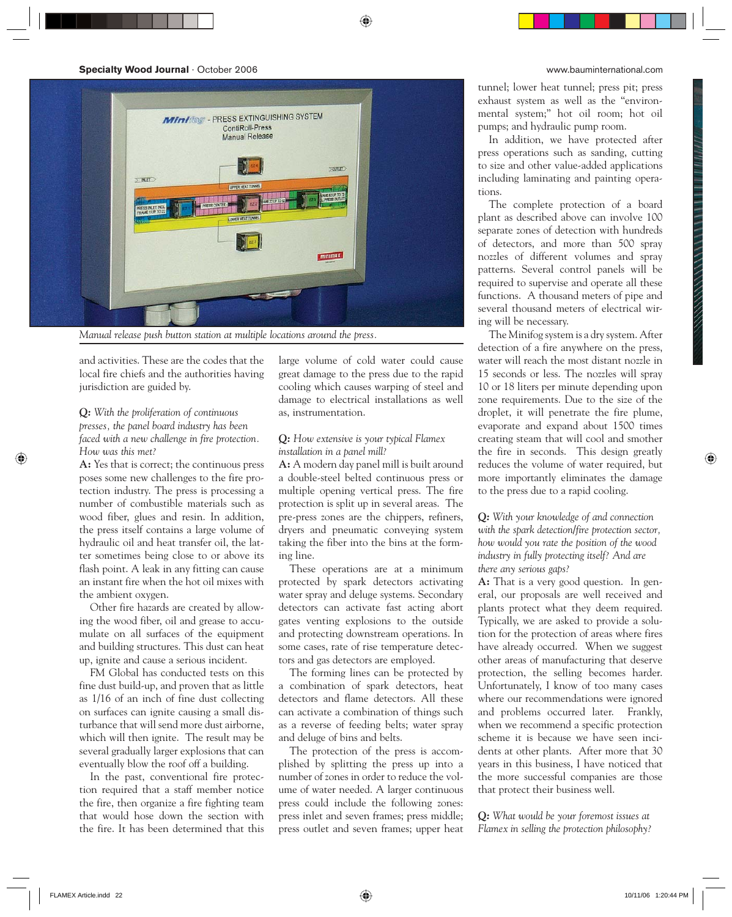

*Manual release push button station at multiple locations around the press.*

and activities. These are the codes that the local fire chiefs and the authorities having jurisdiction are guided by.

## *Q: With the proliferation of continuous presses, the panel board industry has been faced with a new challenge in fire protection. How was this met?*

**A:** Yes that is correct; the continuous press poses some new challenges to the fire protection industry. The press is processing a number of combustible materials such as wood fiber, glues and resin. In addition, the press itself contains a large volume of hydraulic oil and heat transfer oil, the latter sometimes being close to or above its flash point. A leak in any fitting can cause an instant fire when the hot oil mixes with the ambient oxygen.

Other fire hazards are created by allowing the wood fiber, oil and grease to accumulate on all surfaces of the equipment and building structures. This dust can heat up, ignite and cause a serious incident.

FM Global has conducted tests on this fine dust build-up, and proven that as little as 1/16 of an inch of fine dust collecting on surfaces can ignite causing a small disturbance that will send more dust airborne, which will then ignite. The result may be several gradually larger explosions that can eventually blow the roof off a building.

In the past, conventional fire protection required that a staff member notice the fire, then organize a fire fighting team that would hose down the section with the fire. It has been determined that this

large volume of cold water could cause great damage to the press due to the rapid cooling which causes warping of steel and damage to electrical installations as well as, instrumentation.

### *Q: How extensive is your typical Flamex installation in a panel mill?*

**A:** A modern day panel mill is built around a double-steel belted continuous press or multiple opening vertical press. The fire protection is split up in several areas. The pre-press zones are the chippers, refiners, dryers and pneumatic conveying system taking the fiber into the bins at the forming line.

These operations are at a minimum protected by spark detectors activating water spray and deluge systems. Secondary detectors can activate fast acting abort gates venting explosions to the outside and protecting downstream operations. In some cases, rate of rise temperature detectors and gas detectors are employed.

The forming lines can be protected by a combination of spark detectors, heat detectors and flame detectors. All these can activate a combination of things such as a reverse of feeding belts; water spray and deluge of bins and belts.

The protection of the press is accomplished by splitting the press up into a number of zones in order to reduce the volume of water needed. A larger continuous press could include the following zones: press inlet and seven frames; press middle; press outlet and seven frames; upper heat tunnel; lower heat tunnel; press pit; press exhaust system as well as the "environmental system;" hot oil room; hot oil pumps; and hydraulic pump room.

In addition, we have protected after press operations such as sanding, cutting to size and other value-added applications including laminating and painting operations.

The complete protection of a board plant as described above can involve 100 separate zones of detection with hundreds of detectors, and more than 500 spray nozzles of different volumes and spray patterns. Several control panels will be required to supervise and operate all these functions. A thousand meters of pipe and several thousand meters of electrical wiring will be necessary.

The Minifog system is a dry system. After detection of a fire anywhere on the press, water will reach the most distant nozzle in 15 seconds or less. The nozzles will spray 10 or 18 liters per minute depending upon zone requirements. Due to the size of the droplet, it will penetrate the fire plume, evaporate and expand about 1500 times creating steam that will cool and smother the fire in seconds. This design greatly reduces the volume of water required, but more importantly eliminates the damage to the press due to a rapid cooling.

## *Q: With your knowledge of and connection with the spark detection/fire protection sector, how would you rate the position of the wood industry in fully protecting itself? And are there any serious gaps?*

**A:** That is a very good question. In general, our proposals are well received and plants protect what they deem required. Typically, we are asked to provide a solution for the protection of areas where fires have already occurred. When we suggest other areas of manufacturing that deserve protection, the selling becomes harder. Unfortunately, I know of too many cases where our recommendations were ignored and problems occurred later. Frankly, when we recommend a specific protection scheme it is because we have seen incidents at other plants. After more that 30 years in this business, I have noticed that the more successful companies are those that protect their business well.

*Q: What would be your foremost issues at Flamex in selling the protection philosophy?*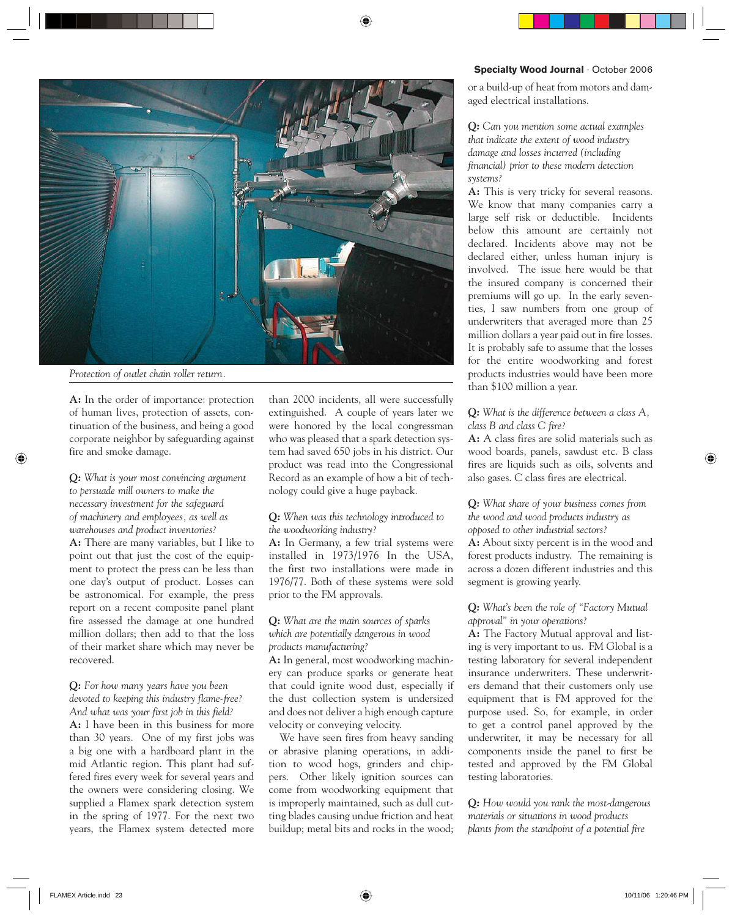#### **Specialty Wood Journal** · October 2006



*Protection of outlet chain roller return.*

**A:** In the order of importance: protection of human lives, protection of assets, continuation of the business, and being a good corporate neighbor by safeguarding against fire and smoke damage.

## *Q: What is your most convincing argument to persuade mill owners to make the necessary investment for the safeguard of machinery and employees, as well as warehouses and product inventories?*

**A:** There are many variables, but I like to point out that just the cost of the equipment to protect the press can be less than one day's output of product. Losses can be astronomical. For example, the press report on a recent composite panel plant fire assessed the damage at one hundred million dollars; then add to that the loss of their market share which may never be recovered.

## *Q: For how many years have you been devoted to keeping this industry flame-free? And what was your first job in this field?*

**A:** I have been in this business for more than 30 years. One of my first jobs was a big one with a hardboard plant in the mid Atlantic region. This plant had suffered fires every week for several years and the owners were considering closing. We supplied a Flamex spark detection system in the spring of 1977. For the next two years, the Flamex system detected more

than 2000 incidents, all were successfully extinguished. A couple of years later we were honored by the local congressman who was pleased that a spark detection system had saved 650 jobs in his district. Our product was read into the Congressional Record as an example of how a bit of technology could give a huge payback.

### *Q: When was this technology introduced to the woodworking industry?*

**A:** In Germany, a few trial systems were installed in 1973/1976 In the USA, the first two installations were made in 1976/77. Both of these systems were sold prior to the FM approvals.

# *Q: What are the main sources of sparks which are potentially dangerous in wood products manufacturing?*

**A:** In general, most woodworking machinery can produce sparks or generate heat that could ignite wood dust, especially if the dust collection system is undersized and does not deliver a high enough capture velocity or conveying velocity.

We have seen fires from heavy sanding or abrasive planing operations, in addition to wood hogs, grinders and chippers. Other likely ignition sources can come from woodworking equipment that is improperly maintained, such as dull cutting blades causing undue friction and heat buildup; metal bits and rocks in the wood; or a build-up of heat from motors and damaged electrical installations.

## *Q: Can you mention some actual examples that indicate the extent of wood industry damage and losses incurred (including financial) prior to these modern detection systems?*

**A:** This is very tricky for several reasons. We know that many companies carry a large self risk or deductible. Incidents below this amount are certainly not declared. Incidents above may not be declared either, unless human injury is involved. The issue here would be that the insured company is concerned their premiums will go up. In the early seventies, I saw numbers from one group of underwriters that averaged more than 25 million dollars a year paid out in fire losses. It is probably safe to assume that the losses for the entire woodworking and forest products industries would have been more than \$100 million a year.

# *Q: What is the difference between a class A, class B and class C fire?*

**A:** A class fires are solid materials such as wood boards, panels, sawdust etc. B class fires are liquids such as oils, solvents and also gases. C class fires are electrical.

## *Q: What share of your business comes from the wood and wood products industry as opposed to other industrial sectors?*

**A:** About sixty percent is in the wood and forest products industry. The remaining is across a dozen different industries and this segment is growing yearly.

# *Q: What's been the role of "Factory Mutual approval" in your operations?*

**A:** The Factory Mutual approval and listing is very important to us. FM Global is a testing laboratory for several independent insurance underwriters. These underwriters demand that their customers only use equipment that is FM approved for the purpose used. So, for example, in order to get a control panel approved by the underwriter, it may be necessary for all components inside the panel to first be tested and approved by the FM Global testing laboratories.

*Q: How would you rank the most-dangerous materials or situations in wood products plants from the standpoint of a potential fire*